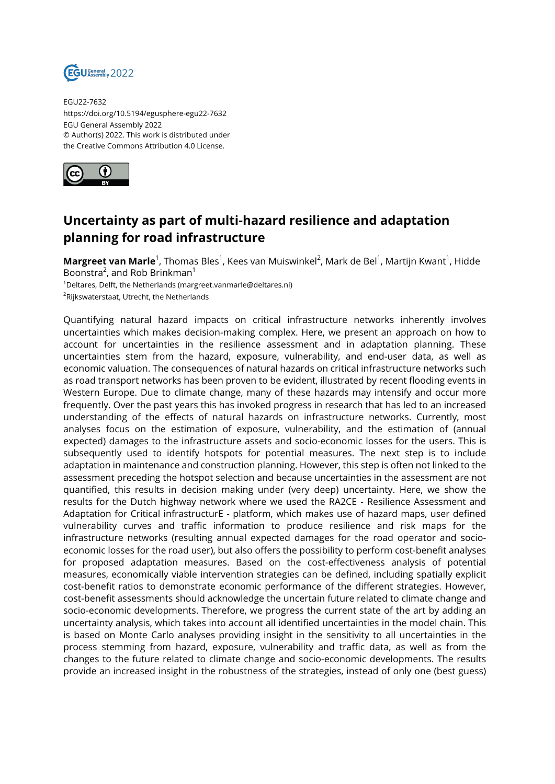

EGU22-7632 https://doi.org/10.5194/egusphere-egu22-7632 EGU General Assembly 2022 © Author(s) 2022. This work is distributed under the Creative Commons Attribution 4.0 License.



## **Uncertainty as part of multi-hazard resilience and adaptation planning for road infrastructure**

**Margreet van Marle**<sup>1</sup>, Thomas Bles<sup>1</sup>, Kees van Muiswinkel<sup>2</sup>, Mark de Bel<sup>1</sup>, Martijn Kwant<sup>1</sup>, Hidde Boonstra<sup>2</sup>, and Rob Brinkman<sup>1</sup> <sup>1</sup>Deltares, Delft, the Netherlands (margreet.vanmarle@deltares.nl)

<sup>2</sup>Rijkswaterstaat, Utrecht, the Netherlands

Quantifying natural hazard impacts on critical infrastructure networks inherently involves uncertainties which makes decision-making complex. Here, we present an approach on how to account for uncertainties in the resilience assessment and in adaptation planning. These uncertainties stem from the hazard, exposure, vulnerability, and end-user data, as well as economic valuation. The consequences of natural hazards on critical infrastructure networks such as road transport networks has been proven to be evident, illustrated by recent flooding events in Western Europe. Due to climate change, many of these hazards may intensify and occur more frequently. Over the past years this has invoked progress in research that has led to an increased understanding of the effects of natural hazards on infrastructure networks. Currently, most analyses focus on the estimation of exposure, vulnerability, and the estimation of (annual expected) damages to the infrastructure assets and socio-economic losses for the users. This is subsequently used to identify hotspots for potential measures. The next step is to include adaptation in maintenance and construction planning. However, this step is often not linked to the assessment preceding the hotspot selection and because uncertainties in the assessment are not quantified, this results in decision making under (very deep) uncertainty. Here, we show the results for the Dutch highway network where we used the RA2CE - Resilience Assessment and Adaptation for Critical infrastructurE - platform, which makes use of hazard maps, user defined vulnerability curves and traffic information to produce resilience and risk maps for the infrastructure networks (resulting annual expected damages for the road operator and socioeconomic losses for the road user), but also offers the possibility to perform cost-benefit analyses for proposed adaptation measures. Based on the cost-effectiveness analysis of potential measures, economically viable intervention strategies can be defined, including spatially explicit cost-benefit ratios to demonstrate economic performance of the different strategies. However, cost-benefit assessments should acknowledge the uncertain future related to climate change and socio-economic developments. Therefore, we progress the current state of the art by adding an uncertainty analysis, which takes into account all identified uncertainties in the model chain. This is based on Monte Carlo analyses providing insight in the sensitivity to all uncertainties in the process stemming from hazard, exposure, vulnerability and traffic data, as well as from the changes to the future related to climate change and socio-economic developments. The results provide an increased insight in the robustness of the strategies, instead of only one (best guess)